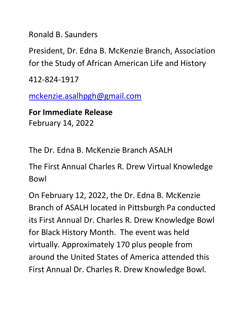Ronald B. Saunders

President, Dr. Edna B. McKenzie Branch, Association for the Study of African American Life and History

412-824-1917

mckenzie.asalhpgh@gmail.com

**For Immediate Release** February 14, 2022

The Dr. Edna B. McKenzie Branch ASALH

The First Annual Charles R. Drew Virtual Knowledge Bowl

On February 12, 2022, the Dr. Edna B. McKenzie Branch of ASALH located in Pittsburgh Pa conducted its First Annual Dr. Charles R. Drew Knowledge Bowl for Black History Month. The event was held virtually. Approximately 170 plus people from around the United States of America attended this First Annual Dr. Charles R. Drew Knowledge Bowl.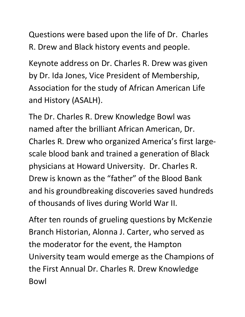Questions were based upon the life of Dr. Charles R. Drew and Black history events and people.

Keynote address on Dr. Charles R. Drew was given by Dr. Ida Jones, Vice President of Membership, Association for the study of African American Life and History (ASALH).

The Dr. Charles R. Drew Knowledge Bowl was named after the brilliant African American, Dr. Charles R. Drew who organized America's first largescale blood bank and trained a generation of Black physicians at Howard University. Dr. Charles R. Drew is known as the "father" of the Blood Bank and his groundbreaking discoveries saved hundreds of thousands of lives during World War II.

After ten rounds of grueling questions by McKenzie Branch Historian, Alonna J. Carter, who served as the moderator for the event, the Hampton University team would emerge as the Champions of the First Annual Dr. Charles R. Drew Knowledge Bowl